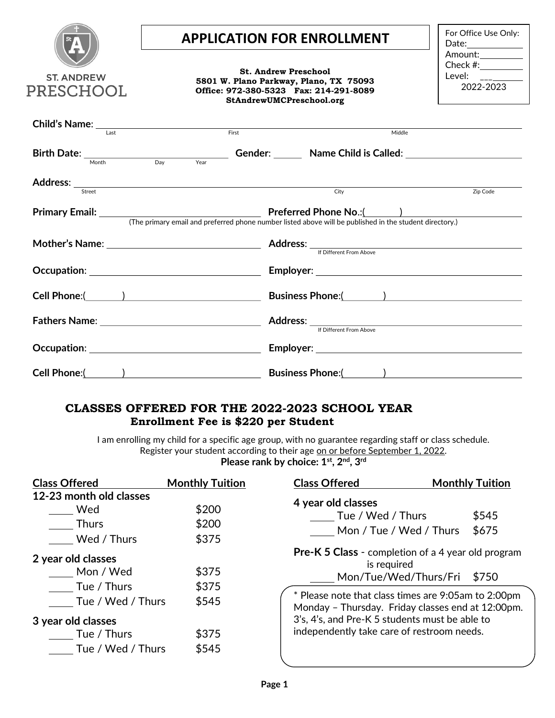|                                                                                                                                                                                                                                                                                                                                                                                                                       | <b>APPLICATION FOR ENROLLMENT</b>                                                                                                                                                                                                         | For Office Use Only:                  |  |  |  |  |
|-----------------------------------------------------------------------------------------------------------------------------------------------------------------------------------------------------------------------------------------------------------------------------------------------------------------------------------------------------------------------------------------------------------------------|-------------------------------------------------------------------------------------------------------------------------------------------------------------------------------------------------------------------------------------------|---------------------------------------|--|--|--|--|
| <b>ST. ANDREW</b><br>PRESCHOOL                                                                                                                                                                                                                                                                                                                                                                                        | <b>St. Andrew Preschool</b><br>5801 W. Plano Parkway, Plano, TX 75093<br>Office: 972-380-5323 Fax: 214-291-8089<br>StAndrewUMCPreschool.org                                                                                               | Amount:<br>Check #: $\_$<br>2022-2023 |  |  |  |  |
| Child's Name: $\frac{1}{\sqrt{1-\frac{1}{\sqrt{1-\frac{1}{\sqrt{1-\frac{1}{\sqrt{1-\frac{1}{\sqrt{1-\frac{1}{\sqrt{1-\frac{1}{\sqrt{1-\frac{1}{\sqrt{1-\frac{1}{\sqrt{1-\frac{1}{\sqrt{1-\frac{1}{\sqrt{1-\frac{1}{\sqrt{1-\frac{1}{\sqrt{1-\frac{1}{\sqrt{1-\frac{1}{1-\frac{1}{\sqrt{1-\frac{1}{\sqrt{1-\frac{1}{1-\frac{1}{\sqrt{1-\frac{1}{\sqrt{1-\frac{1}{\sqrt{1-\frac{1}{1-\frac{1}{\sqrt{1-\frac{1}{1-\frac$ | First                                                                                                                                                                                                                                     | Middle                                |  |  |  |  |
|                                                                                                                                                                                                                                                                                                                                                                                                                       | Birth Date: $\frac{1}{\text{Month}}$ Day Year Gender: Name Child is Called: Note that the contract of the Day Year Child is Called: Note that the Manuscription of the Day Year Child is Called: Note that the Manuscription of the Manus |                                       |  |  |  |  |
| Street                                                                                                                                                                                                                                                                                                                                                                                                                | City                                                                                                                                                                                                                                      | Zip Code                              |  |  |  |  |
|                                                                                                                                                                                                                                                                                                                                                                                                                       | (The primary email and preferred phone number listed above will be published in the student directory.)                                                                                                                                   |                                       |  |  |  |  |
|                                                                                                                                                                                                                                                                                                                                                                                                                       | If Different From Above                                                                                                                                                                                                                   |                                       |  |  |  |  |
|                                                                                                                                                                                                                                                                                                                                                                                                                       |                                                                                                                                                                                                                                           |                                       |  |  |  |  |
|                                                                                                                                                                                                                                                                                                                                                                                                                       | Cell Phone:( <u>2000)</u> Business Phone:(2000) Device Phone:(2000)                                                                                                                                                                       |                                       |  |  |  |  |
|                                                                                                                                                                                                                                                                                                                                                                                                                       |                                                                                                                                                                                                                                           | If Different From Above               |  |  |  |  |
|                                                                                                                                                                                                                                                                                                                                                                                                                       |                                                                                                                                                                                                                                           |                                       |  |  |  |  |
|                                                                                                                                                                                                                                                                                                                                                                                                                       |                                                                                                                                                                                                                                           |                                       |  |  |  |  |

## CLASSES OFFERED FOR THE 2022-2023 SCHOOL YEAR Enrollment Fee is \$220 per Student

I am enrolling my child for a specific age group, with no guarantee regarding staff or class schedule. Register your student according to their age on or before September 1, 2022. Please rank by choice:  $1<sup>st</sup>$ ,  $2<sup>nd</sup>$ ,  $3<sup>rd</sup>$ 

| <b>Class Offered</b>                                          | <b>Monthly Tuition</b>  | <b>Class Offered</b>                                                                                                                                                                                                                                                     | <b>Monthly Tuition</b>                     |  |  |  |
|---------------------------------------------------------------|-------------------------|--------------------------------------------------------------------------------------------------------------------------------------------------------------------------------------------------------------------------------------------------------------------------|--------------------------------------------|--|--|--|
| 12-23 month old classes<br>Wed<br><b>Thurs</b><br>Wed / Thurs | \$200<br>\$200<br>\$375 | 4 year old classes<br>Tue / Wed / Thurs<br>Mon / Tue / Wed / Thurs                                                                                                                                                                                                       | \$545<br>\$675                             |  |  |  |
| 2 year old classes<br>Mon / Wed                               | \$375                   | <b>Pre-K 5 Class</b> - completion of a 4 year old program<br>is required<br>Mon/Tue/Wed/Thurs/Fri<br>\$750<br>* Please note that class times are 9:05am to 2:00pm<br>Monday - Thursday. Friday classes end at 12:00pm.<br>3's, 4's, and Pre-K 5 students must be able to |                                            |  |  |  |
| Tue / Thurs<br>Tue / Wed / Thurs                              | \$375<br>\$545          |                                                                                                                                                                                                                                                                          |                                            |  |  |  |
| 3 year old classes<br>Tue / Thurs<br>Tue / Wed / Thurs        | \$375<br>\$545          |                                                                                                                                                                                                                                                                          | independently take care of restroom needs. |  |  |  |